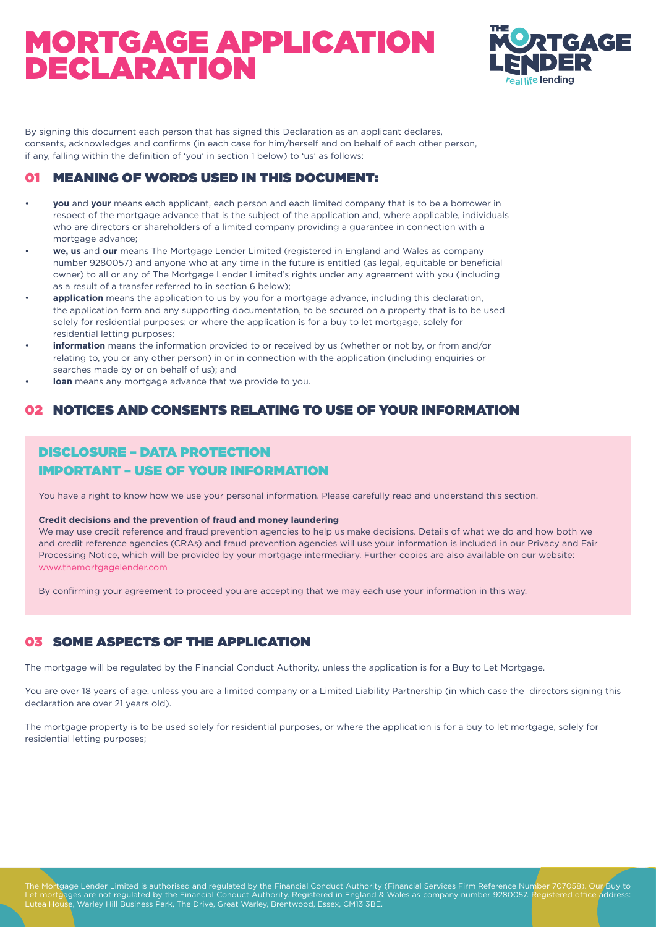

By signing this document each person that has signed this Declaration as an applicant declares, consents, acknowledges and confirms (in each case for him/herself and on behalf of each other person, if any, falling within the definition of 'you' in section 1 below) to 'us' as follows:

### 01 MEANING OF WORDS USED IN THIS DOCUMENT:

- **you** and **your** means each applicant, each person and each limited company that is to be a borrower in respect of the mortgage advance that is the subject of the application and, where applicable, individuals who are directors or shareholders of a limited company providing a guarantee in connection with a mortgage advance;
- **we, us** and **our** means The Mortgage Lender Limited (registered in England and Wales as company number 9280057) and anyone who at any time in the future is entitled (as legal, equitable or beneficial owner) to all or any of The Mortgage Lender Limited's rights under any agreement with you (including as a result of a transfer referred to in section 6 below);
- **application** means the application to us by you for a mortgage advance, including this declaration, the application form and any supporting documentation, to be secured on a property that is to be used solely for residential purposes; or where the application is for a buy to let mortgage, solely for residential letting purposes;
- **information** means the information provided to or received by us (whether or not by, or from and/or relating to, you or any other person) in or in connection with the application (including enquiries or searches made by or on behalf of us); and
- **loan** means any mortgage advance that we provide to you.

### 02 NOTICES AND CONSENTS RELATING TO USE OF YOUR INFORMATION

### DISCLOSURE – DATA PROTECTION IMPORTANT – USE OF YOUR INFORMATION

You have a right to know how we use your personal information. Please carefully read and understand this section.

#### **Credit decisions and the prevention of fraud and money laundering**

We may use credit reference and fraud prevention agencies to help us make decisions. Details of what we do and how both we and credit reference agencies (CRAs) and fraud prevention agencies will use your information is included in our Privacy and Fair Processing Notice, which will be provided by your mortgage intermediary. Further copies are also available on our website: www.themortgagelender.com

By confirming your agreement to proceed you are accepting that we may each use your information in this way.

### 03 SOME ASPECTS OF THE APPLICATION

The mortgage will be regulated by the Financial Conduct Authority, unless the application is for a Buy to Let Mortgage.

You are over 18 years of age, unless you are a limited company or a Limited Liability Partnership (in which case the directors signing this declaration are over 21 years old).

The mortgage property is to be used solely for residential purposes, or where the application is for a buy to let mortgage, solely for residential letting purposes;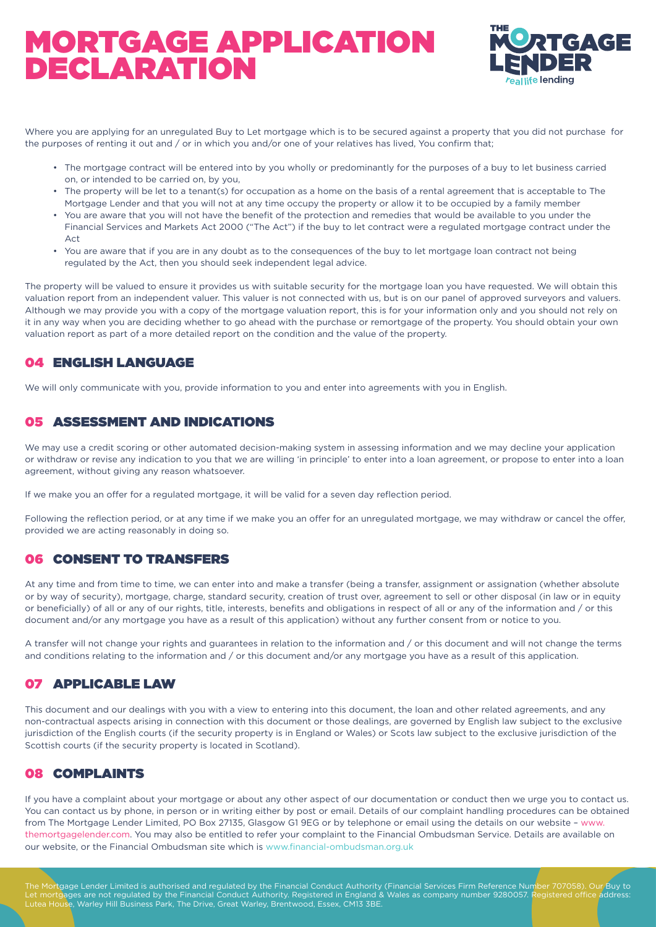

Where you are applying for an unregulated Buy to Let mortgage which is to be secured against a property that you did not purchase for the purposes of renting it out and / or in which you and/or one of your relatives has lived, You confirm that;

- The mortgage contract will be entered into by you wholly or predominantly for the purposes of a buy to let business carried on, or intended to be carried on, by you,
- The property will be let to a tenant(s) for occupation as a home on the basis of a rental agreement that is acceptable to The Mortgage Lender and that you will not at any time occupy the property or allow it to be occupied by a family member
- You are aware that you will not have the benefit of the protection and remedies that would be available to you under the Financial Services and Markets Act 2000 ("The Act") if the buy to let contract were a regulated mortgage contract under the  $\Lambda$  c<sup>+</sup>
- You are aware that if you are in any doubt as to the consequences of the buy to let mortgage loan contract not being regulated by the Act, then you should seek independent legal advice.

The property will be valued to ensure it provides us with suitable security for the mortgage loan you have requested. We will obtain this valuation report from an independent valuer. This valuer is not connected with us, but is on our panel of approved surveyors and valuers. Although we may provide you with a copy of the mortgage valuation report, this is for your information only and you should not rely on it in any way when you are deciding whether to go ahead with the purchase or remortgage of the property. You should obtain your own valuation report as part of a more detailed report on the condition and the value of the property.

### 04 ENGLISH LANGUAGE

We will only communicate with you, provide information to you and enter into agreements with you in English.

### 05 ASSESSMENT AND INDICATIONS

We may use a credit scoring or other automated decision-making system in assessing information and we may decline your application or withdraw or revise any indication to you that we are willing 'in principle' to enter into a loan agreement, or propose to enter into a loan agreement, without giving any reason whatsoever.

If we make you an offer for a regulated mortgage, it will be valid for a seven day reflection period.

Following the reflection period, or at any time if we make you an offer for an unregulated mortgage, we may withdraw or cancel the offer, provided we are acting reasonably in doing so.

#### 06 CONSENT TO TRANSFERS

At any time and from time to time, we can enter into and make a transfer (being a transfer, assignment or assignation (whether absolute or by way of security), mortgage, charge, standard security, creation of trust over, agreement to sell or other disposal (in law or in equity or beneficially) of all or any of our rights, title, interests, benefits and obligations in respect of all or any of the information and / or this document and/or any mortgage you have as a result of this application) without any further consent from or notice to you.

A transfer will not change your rights and guarantees in relation to the information and / or this document and will not change the terms and conditions relating to the information and / or this document and/or any mortgage you have as a result of this application.

#### 07 APPLICABLE LAW

This document and our dealings with you with a view to entering into this document, the loan and other related agreements, and any non-contractual aspects arising in connection with this document or those dealings, are governed by English law subject to the exclusive jurisdiction of the English courts (if the security property is in England or Wales) or Scots law subject to the exclusive jurisdiction of the Scottish courts (if the security property is located in Scotland).

### 08 COMPLAINTS

If you have a complaint about your mortgage or about any other aspect of our documentation or conduct then we urge you to contact us. You can contact us by phone, in person or in writing either by post or email. Details of our complaint handling procedures can be obtained from The Mortgage Lender Limited, PO Box 27135, Glasgow G1 9EG or by telephone or email using the details on our website – www. themortgagelender.com. You may also be entitled to refer your complaint to the Financial Ombudsman Service. Details are available on our website, or the Financial Ombudsman site which is www.financial-ombudsman.org.uk

The Mortgage Lender Limited is authorised and regulated by the Financial Conduct Authority (Financial Services Firm Reference Number 707058). Our Buy to Let mortgages are not regulated by the Financial Conduct Authority. Registered in England & Wales as company number 9280057. Registered office address:<br>Lutea House, Warley Hill Business Park, The Drive, Great Warley, Brent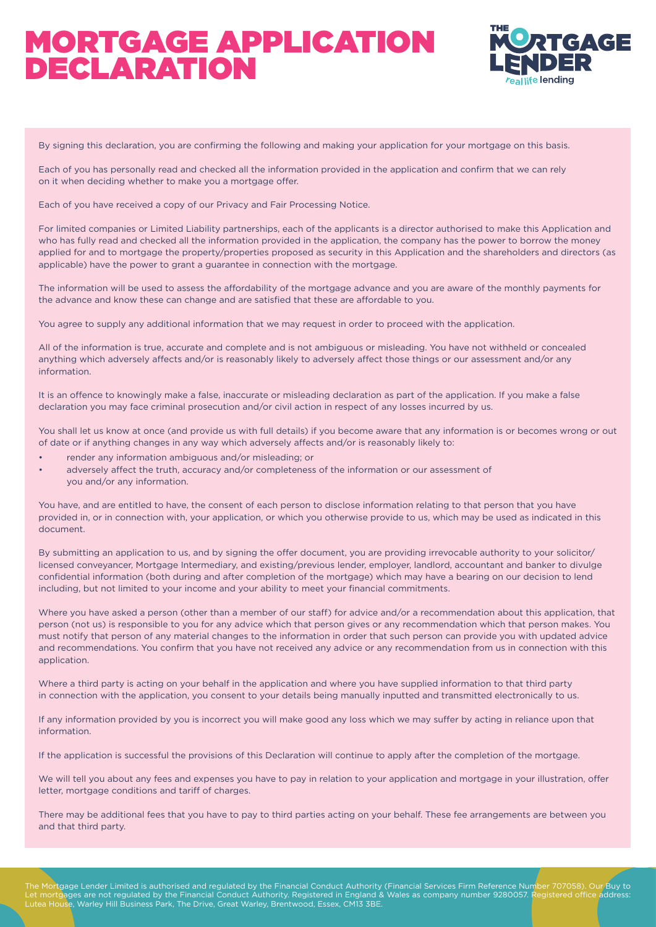

By signing this declaration, you are confirming the following and making your application for your mortgage on this basis.

Each of you has personally read and checked all the information provided in the application and confirm that we can rely on it when deciding whether to make you a mortgage offer.

Each of you have received a copy of our Privacy and Fair Processing Notice.

For limited companies or Limited Liability partnerships, each of the applicants is a director authorised to make this Application and who has fully read and checked all the information provided in the application, the company has the power to borrow the money applied for and to mortgage the property/properties proposed as security in this Application and the shareholders and directors (as applicable) have the power to grant a guarantee in connection with the mortgage.

The information will be used to assess the affordability of the mortgage advance and you are aware of the monthly payments for the advance and know these can change and are satisfied that these are affordable to you.

You agree to supply any additional information that we may request in order to proceed with the application.

All of the information is true, accurate and complete and is not ambiguous or misleading. You have not withheld or concealed anything which adversely affects and/or is reasonably likely to adversely affect those things or our assessment and/or any information.

It is an offence to knowingly make a false, inaccurate or misleading declaration as part of the application. If you make a false declaration you may face criminal prosecution and/or civil action in respect of any losses incurred by us.

You shall let us know at once (and provide us with full details) if you become aware that any information is or becomes wrong or out of date or if anything changes in any way which adversely affects and/or is reasonably likely to:

- render any information ambiguous and/or misleading; or
- adversely affect the truth, accuracy and/or completeness of the information or our assessment of you and/or any information.

You have, and are entitled to have, the consent of each person to disclose information relating to that person that you have provided in, or in connection with, your application, or which you otherwise provide to us, which may be used as indicated in this document.

By submitting an application to us, and by signing the offer document, you are providing irrevocable authority to your solicitor/ licensed conveyancer, Mortgage Intermediary, and existing/previous lender, employer, landlord, accountant and banker to divulge confidential information (both during and after completion of the mortgage) which may have a bearing on our decision to lend including, but not limited to your income and your ability to meet your financial commitments.

Where you have asked a person (other than a member of our staff) for advice and/or a recommendation about this application, that person (not us) is responsible to you for any advice which that person gives or any recommendation which that person makes. You must notify that person of any material changes to the information in order that such person can provide you with updated advice and recommendations. You confirm that you have not received any advice or any recommendation from us in connection with this application.

Where a third party is acting on your behalf in the application and where you have supplied information to that third party in connection with the application, you consent to your details being manually inputted and transmitted electronically to us.

If any information provided by you is incorrect you will make good any loss which we may suffer by acting in reliance upon that information.

If the application is successful the provisions of this Declaration will continue to apply after the completion of the mortgage.

We will tell you about any fees and expenses you have to pay in relation to your application and mortgage in your illustration, offer letter, mortgage conditions and tariff of charges.

There may be additional fees that you have to pay to third parties acting on your behalf. These fee arrangements are between you and that third party.